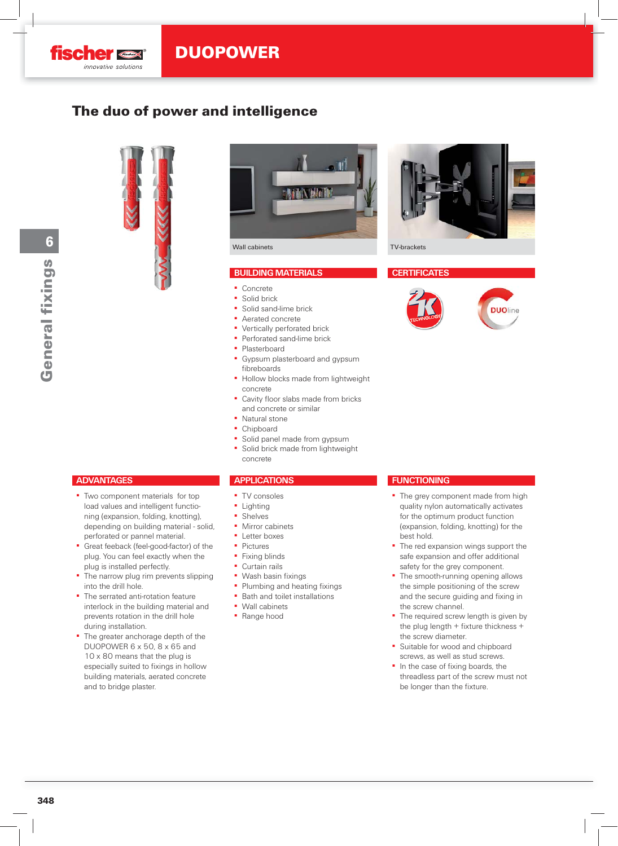

# The duo of power and intelligence





#### **BUILDING MATERIALS**

- Concrete
- Solid brick
- Solid sand-lime brick
- Aerated concrete
- **Vertically perforated brick**
- **Perforated sand-lime brick**
- **Plasterboard**
- **Gypsum plasterboard and gypsum** fibreboards
- **Hollow blocks made from lightweight** concrete
- Cavity floor slabs made from bricks and concrete or similar
- Natural stone
- Chipboard
- Solid panel made from gypsum
- Solid brick made from lightweight concrete

#### **APPLICATIONS**

- TV consoles
- Lighting
- Shelves
- **·** Mirror cabinets
- Letter boxes
- Pictures
- **•** Fixing blinds
- Curtain rails
- Wash basin fixings
- Plumbing and heating fixings
- Bath and toilet installations
- Wall cabinets
- Range hood



#### **CERTIFICATES**



#### **FUNCTIONING**

- The grey component made from high quality nylon automatically activates for the optimum product function (expansion, folding, knotting) for the best hold.
- **The red expansion wings support the** safe expansion and offer additional safety for the grey component.
- The smooth-running opening allows the simple positioning of the screw and the secure guiding and fixing in the screw channel.
- **•** The required screw length is given by the plug length  $+$  fixture thickness  $+$ the screw diameter.
- Suitable for wood and chipboard screws, as well as stud screws.
- In the case of fixing boards, the threadless part of the screw must not be longer than the fixture.
- **Two component materials for top** load values and intelligent functioning (expansion, folding, knotting), depending on building material - solid, perforated or pannel material.
- **Great feeback (feel-good-factor) of the** plug. You can feel exactly when the plug is installed perfectly.
- The narrow plug rim prevents slipping into the drill hole.
- The serrated anti-rotation feature interlock in the building material and prevents rotation in the drill hole during installation.
- The greater anchorage depth of the DUOPOWER 6 x 50, 8 x 65 and 10 x 80 means that the plug is especially suited to fixings in hollow building materials, aerated concrete and to bridge plaster.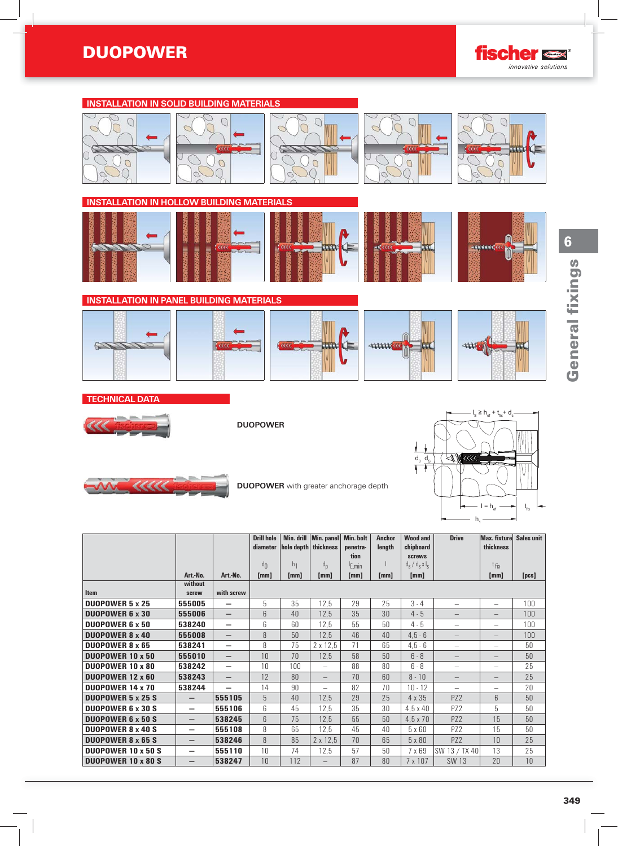

6

General fixings

General fixings





**DUOPOWER** with greater anchorage depth



|                           |                          |                          | <b>Drill hole</b> |                      | Min. drill Min. panel    | <b>Min. bolt</b> | <b>Anchor</b> | <b>Wood and</b> | <b>Drive</b>                    | <b>Max.</b> fixture             | <b>Sales unit</b> |
|---------------------------|--------------------------|--------------------------|-------------------|----------------------|--------------------------|------------------|---------------|-----------------|---------------------------------|---------------------------------|-------------------|
|                           |                          |                          | diameter          | hole depth thickness |                          | penetra-         | length        | chipboard       |                                 | thickness                       |                   |
|                           |                          |                          |                   |                      |                          | tion             |               | <b>screws</b>   |                                 |                                 |                   |
|                           |                          |                          | dn                | h <sub>1</sub>       | $d_{n}$                  | E.min            |               | $d_S/d_S x l_S$ |                                 | $t_{fix}$                       |                   |
|                           | Art.-No.                 | Art.-No.                 | [mm]              | [mm]                 | [mm]                     | [mm]             | [mm]          | [mm]            |                                 | [mm]                            | [pcs]             |
|                           | without                  |                          |                   |                      |                          |                  |               |                 |                                 |                                 |                   |
| Item                      | screw                    | with screw               |                   |                      |                          |                  |               |                 |                                 |                                 |                   |
| <b>DUOPOWER 5 x 25</b>    | 555005                   | $\overline{\phantom{0}}$ | 5                 | 35                   | 12,5                     | 29               | 25            | $3 - 4$         | $\overline{\phantom{0}}$        | $\overline{\phantom{0}}$        | 100               |
| <b>DUOPOWER 6 x 30</b>    | 555006                   | $\overline{\phantom{0}}$ | $6\overline{6}$   | 40                   | 12,5                     | 35               | 30            | $4 - 5$         | $\qquad \qquad -$               | $\qquad \qquad -$               | 100               |
| DUOPOWER 6 x 50           | 538240                   | —                        | 6                 | 60                   | 12,5                     | 55               | 50            | $4 - 5$         | $\overline{\phantom{0}}$        | $\qquad \qquad -$               | 100               |
| <b>DUOPOWER 8 x 40</b>    | 555008                   | $\overline{\phantom{0}}$ | 8                 | 50                   | 12,5                     | 46               | 40            | $4,5 - 6$       |                                 | $\qquad \qquad -$               | 100               |
| <b>DUOPOWER 8 x 65</b>    | 538241                   | $\overline{\phantom{0}}$ | 8                 | 75                   | $2 \times 12.5$          | 71               | 65            | $4,5 - 6$       | $\qquad \qquad -$               | $\qquad \qquad -$               | 50                |
| <b>DUOPOWER 10 x 50</b>   | 555010                   | $\qquad \qquad -$        | 10                | 70                   | 12,5                     | 58               | 50            | $6 - 8$         | $\qquad \qquad -$               | $\hspace{0.1mm}-\hspace{0.1mm}$ | 50                |
| <b>DUOPOWER 10 x 80</b>   | 538242                   | $\overline{\phantom{0}}$ | 10                | 100                  | $\equiv$                 | 88               | 80            | $6 - 8$         | $\overline{\phantom{0}}$        | $\overline{\phantom{0}}$        | 25                |
| DUOPOWER 12 x 60          | 538243                   | $\overline{\phantom{0}}$ | 12                | 80                   | $\overline{\phantom{0}}$ | 70               | 60            | $8 - 10$        | $\hspace{0.1mm}-\hspace{0.1mm}$ | $\qquad \qquad -$               | 25                |
| DUOPOWER 14 x 70          | 538244                   | $\overline{\phantom{0}}$ | 14                | 90                   | $\overline{\phantom{0}}$ | 82               | 70            | $10 - 12$       | $\overline{\phantom{0}}$        | $\overline{\phantom{m}}$        | 20                |
| <b>DUOPOWER 5 x 25 S</b>  | —                        | 555105                   | 5                 | 40                   | 12,5                     | 29               | 25            | 4 x 35          | PZ <sub>2</sub>                 | $6\phantom{1}$                  | 50                |
| <b>DUOPOWER 6 x 30 S</b>  | $\overline{\phantom{0}}$ | 555106                   | 6                 | 45                   | 12,5                     | 35               | 30            | $4,5 \times 40$ | PZ <sub>2</sub>                 | 5                               | 50                |
| <b>DUOPOWER 6 x 50 S</b>  | $\overline{\phantom{0}}$ | 538245                   | 6                 | 75                   | 12,5                     | 55               | 50            | $4,5 \times 70$ | P <sub>Z</sub> 2                | 15                              | 50                |
| <b>DUOPOWER 8 x 40 S</b>  | $\overline{\phantom{0}}$ | 555108                   | 8                 | 65                   | 12,5                     | 45               | 40            | $5 \times 60$   | PZ <sub>2</sub>                 | 15                              | 50                |
| <b>DUOPOWER 8 x 65 S</b>  | —                        | 538246                   | 8                 | 85                   | $2 \times 12.5$          | 70               | 65            | 5 x 80          | PZ <sub>2</sub>                 | 10                              | 25                |
| <b>DUOPOWER 10 x 50 S</b> | $\overline{\phantom{0}}$ | 555110                   | 10                | 74                   | 12,5                     | 57               | 50            | 7 x 69          | SW 13 / TX 40                   | 13                              | 25                |
| <b>DUOPOWER 10 x 80 S</b> | $\overline{\phantom{0}}$ | 538247                   | 10                | 112                  | —                        | 87               | 80            | 7 x 107         | SW 13                           | 20                              | 10                |